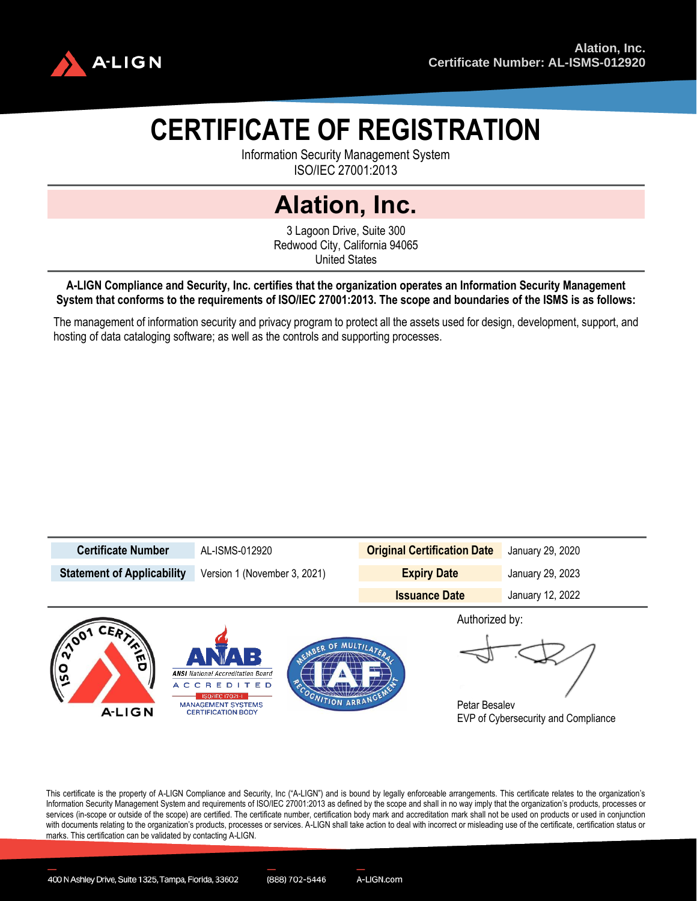

# **CERTIFICATE OF REGISTRATION**

Information Security Management System ISO/IEC 27001:2013

## **Alation, Inc.**

3 Lagoon Drive, Suite 300 Redwood City, California 94065 United States

**A-LIGN Compliance and Security, Inc. certifies that the organization operates an Information Security Management System that conforms to the requirements of ISO/IEC 27001:2013. The scope and boundaries of the ISMS is as follows:** 

The management of information security and privacy program to protect all the assets used for design, development, support, and hosting of data cataloging software; as well as the controls and supporting processes.



This certificate is the property of A-LIGN Compliance and Security, Inc ("A-LIGN") and is bound by legally enforceable arrangements. This certificate relates to the organization's Information Security Management System and requirements of ISO/IEC 27001:2013 as defined by the scope and shall in no way imply that the organization's products, processes or services (in-scope or outside of the scope) are certified. The certificate number, certification body mark and accreditation mark shall not be used on products or used in conjunction with documents relating to the organization's products, processes or services. A-LIGN shall take action to deal with incorrect or misleading use of the certificate, certification status or marks. This certification can be validated by contacting A-LIGN.